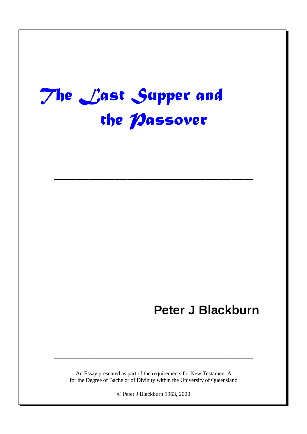# - <u>and the contract of the second contract of the contract of the contract of the contract of the contract of the contract of the contract of the contract of the contract of the contract of the contract of the contract of th</u>

––––––––––––––––––––––––––––––––––––––––––––––

## **Peter J Blackburn**

An Essay presented as part of the requirements for New Testament A for the Degree of Bachelor of Divinity within the University of Queensland

––––––––––––––––––––––––––––––––––––––––––––––

© Peter J Blackburn 1963, 2000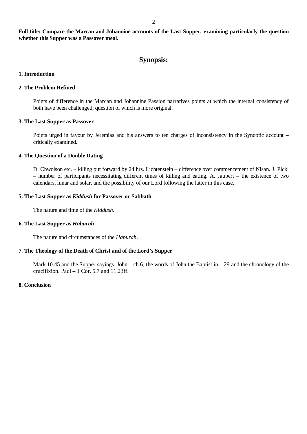**Full title: Compare the Marcan and Johannine accounts of the Last Supper, examining particularly the question whether this Supper was a Passover meal.**

#### **Synopsis:**

#### **1. Introduction**

#### **2. The Problem Refined**

Points of difference in the Marcan and Johannine Passion narratives points at which the internal consistency of both have been challenged; question of which is more original.

#### **3. The Last Supper as Passover**

Points urged in favour by Jeremias and his answers to ten charges of inconsistency in the Synoptic account – critically examined.

#### **4. The Question of a Double Dating**

D. Chwolson etc. – killing put forward by 24 hrs. Lichtenstein – difference over commencement of Nisan. J. Pickl – number of participants necessitating different times of killing and eating. A. Jaubert – the existence of two calendars, lunar and solar, and the possibility of our Lord following the latter in this case.

#### **5. The Last Supper as** *Kiddush* **for Passover or Sabbath**

The nature and time of the *Kiddush*.

#### **6. The Last Supper as** *Haburah*

The nature and circumstances of the *Haburah*.

#### **7. The Theology of the Death of Christ and of the Lord's Supper**

Mark 10.45 and the Supper sayings. John – ch.6, the words of John the Baptist in 1.29 and the chronology of the crucifixion. Paul  $-1$  Cor. 5.7 and 11.23ff.

#### **8. Conclusion**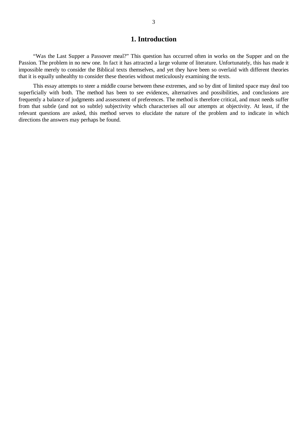#### **1. Introduction**

"Was the Last Supper a Passover meal?" This question has occurred often in works on the Supper and on the Passion. The problem in no new one. In fact it has attracted a large volume of literature. Unfortunately, this has made it impossible merely to consider the Biblical texts themselves, and yet they have been so overlaid with different theories that it is equally unhealthy to consider these theories without meticulously examining the texts.

This essay attempts to steer a middle course between these extremes, and so by dint of limited space may deal too superficially with both. The method has been to see evidences, alternatives and possibilities, and conclusions are frequently a balance of judgments and assessment of preferences. The method is therefore critical, and must needs suffer from that subtle (and not so subtle) subjectivity which characterises all our attempts at objectivity. At least, if the relevant questions are asked, this method serves to elucidate the nature of the problem and to indicate in which directions the answers may perhaps be found.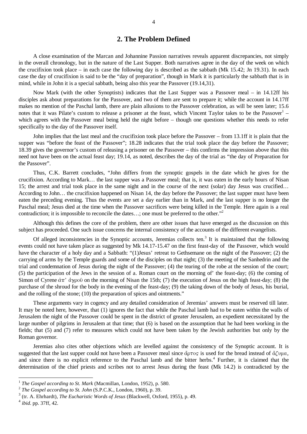#### **2. The Problem Defined**

A close examination of the Marcan and Johannine Passion narratives reveals apparent discrepancies, not simply in the overall chronology, but in the nature of the Last Supper. Both narratives agree in the day of the week on which the crucifixion took place – in each case the following day is described as the sabbath (Mk 15.42; Jn 19.31). In each case the day of crucifixion is said to be the "day of preparation", though in Mark it is particularly the sabbath that is in mind, while in John it is a special sabbath, being also this year the Passover (19.14,31).

Now Mark (with the other Synoptists) indicates that the Last Supper was a Passover meal – in 14.12ff his disciples ask about preparations for the Passover, and two of them are sent to prepare it; while the account in 14.17ff makes no mention of the Paschal lamb, there are plain allusions to the Passover celebration, as will be seen later; 15.6 notes that it was Pilate's custom to release a prisoner at the feast, which Vincent Taylor takes to be the Passover<sup>1</sup> – which agrees with the Passover meal being held the night before – though one questions whether this needs to refer specifically to the day of the Passover itself.

John implies that the last meal and the crucifixion took place before the Passover – from 13.1ff it is plain that the supper was "before the feast of the Passover"; 18.28 indicates that the trial took place the day before the Passover; 18.39 gives the governor's custom of releasing a prisoner on the Passover – this confirms the impression above that this need not have been on the actual feast day; 19.14, as noted, describes the day of the trial as "the day of Preparation for the Passover".

Thus, C.K. Barrett concludes, "John differs from the synoptic gospels in the date which he gives for the crucifixion. According to Mark… the last supper was a Passover meal; that is, it was eaten in the early hours of Nisan 15; the arrest and trial took place in the same night and in the course of the next (solar) day Jesus was crucified… According to John… the crucifixion happened on Nisan 14, the day before the Passover; the last supper must have been eaten the preceding evening. Thus the events are set a day earlier than in Mark, and the last supper is no longer the Paschal meal; Jesus died at the time when the Passover sacrifices were being killed in the Temple. Here again is a real contradiction; it is impossible to reconcile the dates...; one must be preferred to the other."<sup>2</sup>

Although this defines the core of the problem, there are other issues that have emerged as the discussion on this subject has proceeded. One such issue concerns the internal consistency of the accounts of the different evangelists.

Of alleged inconsistencies in the Synoptic accounts, Jeremias collects ten.<sup>3</sup> It is maintained that the following events could not have taken place as suggested by Mk 14.17-15.47 on the first feast-day of the Passover, which would have the character of a holy day and a Sabbath: "(1)Jesus' retreat to Gethsemane on the night of the Passover; (2) the carrying of arms by the Temple guards and some of the disciples on that night; (3) the meeting of the Sanhedrin and the trial and condemnation of Jesus during the night of the Passover; (4) the tearing of the robe at the session of the court; (5) the participation of the Jews in the session of a. Roman court on the morning of' the feast-day; (6) the coming of Simon of Cyrene  $\hat{\alpha} \pi$   $\hat{\alpha} \gamma \rho \partial \hat{\nu}$  on the morning of Nisan the 15th; (7) the execution of Jesus on the high feast-day; (8) the purchase of the shroud for the body in the evening of the feast-day; (9) the taking down of the body of Jesus, his burial, and the rolling of the stone; (10) the preparation of spices and ointments."

These arguments vary in cogency and any detailed consideration of Jeremias' answers must be reserved till later. It may be noted here, however, that (1) ignores the fact that while the Paschal lamb had to be eaten within the walls of Jerusalem the night of the Passover could be spent in the district of greater Jerusalem, an expedient necessitated by the large number of pilgrims in Jerusalem at that time; that (6) is based on the assumption that he had been working in the fields; that (5) and (7) refer to measures which could not have been taken by the Jewish authorities but only by the Roman governor.

Jeremias also cites other objections which are levelled against the consistency of the Synoptic account. It is suggested that the last supper could not have been a Passover meal since  $\phi$   $\sigma$  is used for the bread instead of  $\phi$ 'uua. and since there is no explicit reference to the Paschal lamb and the bitter herbs. 4 Further, it is claimed that the determination of the chief priests and scribes not to arrest Jesus during the feast (Mk 14.2) is contradicted by the

<sup>&</sup>lt;sup>1</sup> The Gospel according to St. Mark (Macmillan, London, 1952), p. 580.

<sup>2</sup> *The Gospel according to St. John* (S.P.C.K., London, 1960), p. 39.

<sup>3</sup> (tr. A. Ehrhardt), *The Eucharistic Words of Jesus* (Blackwell, Oxford, 1955), p. 49.

<sup>4</sup> *ibid*. pp. 37ff, 42.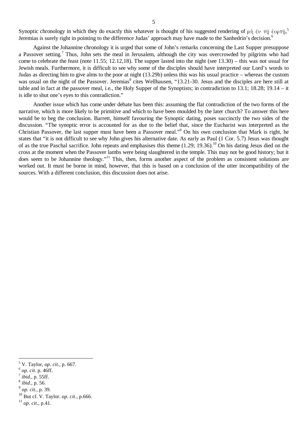Synoptic chronology in which they do exactly this whatever is thought of his suggested rendering of  $\mu$   $\eta$   $\leftrightarrow$   $\tau$  $\eta$   $\leftrightarrow$   $\tau$  $\eta$ ,  $\sim$ Jeremias is surely right in pointing to the difference Judas' approach may have made to the Sanhedrin's decision.<sup>6</sup>

Against the Johannine chronology it is urged that some of John's remarks concerning the Last Supper presuppose a Passover setting.<sup>7</sup> Thus, John sets the meal in Jerusalem, although the city was overcrowded by pilgrims who had come to celebrate the feast (note 11.55; 12.12,18). The supper lasted into the night (see 13.30) – this was not usual for Jewish meals. Furthermore, it is difficult to see why some of the disciples should have interpreted our Lord's words to Judas as directing him to give alms to the poor at night (13.29b) unless this was his usual practice – whereas the custom was usual on the night of the Passover. Jeremias<sup>8</sup> cites Wellhausen, "13.21-30. Jesus and the disciples are here still at table and in fact at the passover meal, i.e., the Holy Supper of the Synoptists; in contradiction to 13.1; 18.28; 19.14 – it is idle to shut one's eyes to this contradiction."

Another issue which has come under debate has been this: assuming the flat contradiction of the two forms of the narrative, which is more likely to be primitive and which to have been moulded by the later church? To answer this here would be to beg the conclusion. Barrett, himself favouring the Synoptic dating, poses succinctly the two sides of the discussion. "The synoptic error is accounted for as due to the belief that, since the Eucharist was interpreted as the Christian Passover, the last supper must have been a Passover meal." <sup>9</sup> On his own conclusion that Mark is right, he states that "it is not difficult to see why John gives his alternative date. As early as Paul (1 Cor. 5.7) Jesus was thought of as the true Paschal sacrifice. John repeats and emphasises this theme (1.29; 19.36).<sup>10</sup> On his dating Jesus died on the cross at the moment when the Passover lambs were being slaughtered in the temple. This may not be good history; but it does seem to be Johannine theology."<sup>11</sup> This, then, forms another aspect of the problem as consistent solutions are worked out. It must be borne in mind, however, that this is based on a conclusion of the utter incompatibility of the sources. With a different conclusion, this discussion does not arise.

 $\overline{a}$ 

<sup>11</sup> *op. cit.*, p.41.

<sup>5</sup> V. Taylor, *op. cit.*, p. 667.

<sup>6</sup> *op. cit.* p. 46ff.

<sup>7</sup> *ibid.*, p. 55ff.

<sup>8</sup> *ibid.*, p. 56.

<sup>9</sup> *op. cit.*, p. 39.

<sup>10</sup> But cf. V. Taylor. *op. cit.*, p.666.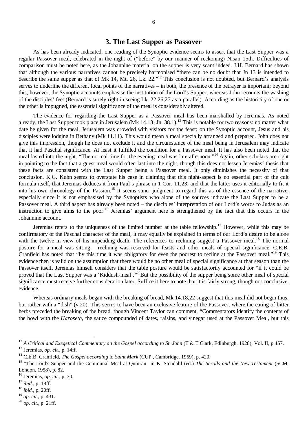#### **3. The Last Supper as Passover**

As has been already indicated, one reading of the Synoptic evidence seems to assert that the Last Supper was a regular Passover meal, celebrated in the night of ("before" by our manner of reckoning) Nisan 15th. Difficulties of comparison must be noted here, as the Johannine material on the supper is very scant indeed. J.H. Bernard has shown that although the various narratives cannot be precisely harmonised "there can be no doubt that Jn 13 is intended to describe the same supper as that of Mk 14, Mt. 26, Lk. 22."<sup>12</sup> This conclusion is not doubted, but Bernard's analysis serves to underline the different focal points of the narratives – in both, the presence of the betrayer is important; beyond this, however, the Synoptic accounts emphasise the institution of the Lord's Supper, whereas John recounts the washing of the disciples' feet (Bernard is surely right in seeing Lk. 22.26,27 as a parallel). According as the historicity of one or the other is impugned, the essential significance of the meal is considerably altered.

The evidence for regarding the Last Supper as a Passover meal has been marshalled by Jeremias. As noted already, the Last Supper took place in Jerusalem (Mk 14.13; Jn. 38.1).<sup>13</sup> This is notable for two reasons: no matter what date be given for the meal, Jerusalem was crowded with visitors for the feast; on the Synoptic account, Jesus and his disciples were lodging in Bethany (Mk 11.11). This would mean a meal specially arranged and prepared. John does not give this impression, though he does not exclude it and the circumstance of the meal being in Jerusalem may indicate that it had Paschal significance. At least it fulfilled the condition for a Passover meal. It has also been noted that the meal lasted into the night. "The normal time for the evening meal was late afternoon."<sup>14</sup> Again, other scholars are right in pointing to the fact that a guest meal would often last into the night, though this does not lessen Jeremias' thesis that these facts are consistent with the Last Supper being a Passover meal. It only diminishes the necessity of that conclusion. K.G. Kuhn seems to overstate his case in claiming that this night-aspect is no essential part of the cult formula itself, that Jeremias deduces it from Paul's phrase in 1 Cor. 11.23, and that the latter uses it editorially to fit it into his own chronology of the Passion.<sup>15</sup> It seems saner judgment to regard this as of the essence of the narrative, especially since it is not emphasised by the Synoptists who alone of the sources indicate the Last Supper to be a Passover meal. A third aspect has already been noted – the disciples' interpretation of our Lord's words to Judas as an instruction to give alms to the poor.<sup>16</sup> Jeremias' argument here is strengthened by the fact that this occurs in the Johannine account.

Jeremias refers to the uniqueness of the limited number at the table fellowship.<sup>17</sup> However, while this may be confirmatory of the Paschal character of the meal, it may equally be explained in terms of our Lord's desire to be alone with the twelve in view of his impending death. The references to reclining suggest a Passover meal.<sup>18</sup> The normal posture for a meal was sitting – reclining was reserved for feasts and other meals of special significance. C.E.B. Cranfield has noted that "by this time it was obligatory for even the poorest to recline at the Passover meal."<sup>19</sup> This evidence then is valid on the assumption that there would be no other meal of special significance at that season than the Passover itself. Jeremias himself considers that the table posture would be satisfactorily accounted for "if it could be proved that the Last Supper was a 'Kiddush-meal'."<sup>20</sup>But the possibility of the supper being some other meal of special significance must receive further consideration later. Suffice it here to note that it is fairly strong, though not conclusive, evidence.

Whereas ordinary meals began with the breaking of bread, Mk 14.18,22 suggest that this meal did not begin thus, but rather with a "dish" (v.20). This seems to have been an exclusive feature of the Passover, where the eating of bitter herbs preceded the breaking of the bread, though Vincent Taylor can comment, "Commentators identify the contents of the bowl with the *Haroseth*, the sauce compounded of dates, raisins, and vinegar used at the Passover Meal, but this

 $\overline{a}$ 

<sup>18</sup> *ibid.*, p. 20ff.

<sup>19</sup> *op. cit.*, p. 431.

<sup>20</sup> *op. cit.*, p. 21ff.

<sup>&</sup>lt;sup>12</sup> A Critical and Exegetical Commentary on the Gospel according to St. John (T & T Clark, Edinburgh, 1928), Vol. II, p.457. <sup>13</sup> Jeremias, *op. cit.*, p. 14ff.

<sup>14</sup> C.E.B. Cranfield, *The Gospel according to Saint Mark* (CUP., Cambridge. 1959), p. 420.

<sup>&</sup>lt;sup>15</sup> "The Lord's Supper and the Communal Meal at Qumran" in K. Stendahl (ed.) *The Scrolls and the New Testament* (SCM, London, 1958), p. 82.

<sup>16</sup> Jeremias, *op. cit.*, p. 30.

<sup>17</sup> *ibid.*, p. 18ff.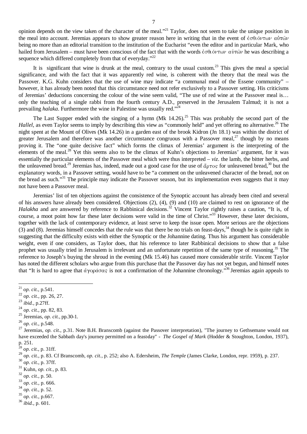opinion depends on the view taken of the character of the meal."<sup>21</sup> Taylor, does not seem to take the unique position in the meal into account. Jeremias appears to show greater reason here in writing that in the event of  $\dot{\epsilon} \sigma \theta i \dot{\sigma} \nu \tau \omega \nu \alpha \dot{\nu} \tau \dot{\omega} \nu$ being no more than an editorial transition to the institution of the Eucharist "even the editor and in particular Mark, who hailed from Jerusalem – must have been conscious of the fact that with the words  $\dot{\epsilon} \sigma \theta_1 \dot{\sigma} \nu \tau \omega \nu \alpha \dot{\nu} \tau \dot{\omega} \nu$  he was describing a sequence which differed completely from that of everyday."<sup>22</sup>

It is significant that wine is drunk at the meal, contrary to the usual custom.<sup>23</sup> This gives the meal a special significance, and with the fact that it was apparently red wine, is coherent with the theory that the meal was the Passover. K.G. Kuhn considers that the use of wine may indicate "a communal meal of the Essene community" – however, it has already been noted that this circumstance need not refer exclusively to a Passover setting. His criticisms of Jeremias' deductions concerning the colour of the wine seem valid, "The use of red wine at the Passover meal is… only the teaching of a single rabbi from the fourth century A.D., preserved in the Jerusalem Talmud; it is not a prevailing *halaka*. Furthermore the wine in Palestine was usually red."<sup>24</sup>

The Last Supper ended with the singing of a hymn  $(Mk \ 14.26)$ .<sup>25</sup> This was probably the second part of the Hallel, as even Taylor seems to imply by describing this view as "commonly held" and yet offering no alternative.<sup>26</sup> The night spent at the Mount of Olives (Mk 14.26) in a garden east of the brook Kidron (Jn 18.1) was within the district of greater Jerusalem and therefore was another circumstance congruous with a Passover meal,<sup>27</sup> though by no means proving it. The "one quite decisive fact" which forms the climax of Jeremias' argument is the interpreting of the elements of the meal.<sup>28</sup> Yet this seems also to be the climax of Kuhn's objections to Jeremias' argument, for it was essentially the particular elements of the Passover meal which were thus interpreted – *viz*. the lamb, the bitter herbs, and the unleavened bread.<sup>29</sup> Jeremias has, indeed, made out a good case for the use of  $\phi$   $\tau$ os for unleavened bread,<sup>30</sup> but the explanatory words, in a Passover setting, would have to be "a comment on the unleavened character of the bread, not on the bread as such."<sup>31</sup> The principle may indicate the Passover season, but its implementation even suggests that it may not have been a Passover meal.

Jeremias' list of ten objections against the consistence of the Synoptic account has already been cited and several of his answers have already been considered. Objections (2), (4), (9) and (10) are claimed to rest on ignorance of the *Halakha* and are answered by reference to Rabbinical decisions. <sup>32</sup> Vincent Taylor rightly raises a caution, "It is, of course, a moot point how far these later decisions were valid in the time of Christ."<sup>33</sup> However, these later decisions, together with the lack of contemporary evidence, at least serve to keep the issue open. More serious are the objections (3) and (8). Jeremias himself concedes that the rule was that there be no trials on feast-days,<sup>34</sup> though he is quite right in suggesting that the difficulty exists with either the Synoptic or the Johannine dating. Thus his argument has considerable weight, even if one considers, as Taylor does, that his reference to later Rabbinical decisions to show that a false prophet was usually tried in Jerusalem is irrelevant and an unfortunate repetition of the same type of reasoning.<sup>35</sup> The reference to Joseph's buying the shroud in the evening (Mk 15.46) has caused more considerable strife. Vincent Taylor has noted the different scholars who argue from this purchase that the Passover day has not yet begun, and himself notes that "It is hard to agree that  $\dot{\alpha}$   $\gamma$ op $\dot{\alpha}$  or  $s$  is not a confirmation of the Johannine chronology."<sup>36</sup> Jeremias again appeals to

 $\overline{a}$ 

<sup>25</sup> Jeremias, *op. cit.*, pp.30-1.

- <sup>31</sup> Kuhn, *op. cit.*, p. 83.
- <sup>32</sup> *op. cit.*, p. 50.
- <sup>33</sup> *op. cit.*, p. 666.
- <sup>34</sup> *op. cit.*, p. 52.
- <sup>35</sup> *op. cit.*, p.667.
- <sup>36</sup> *ibid.*, p. 601.

<sup>21</sup> *op. cit.*, p.541.

 $^{22}$  *op. cit.*, pp. 26, 27.

<sup>23</sup> *ibid.*, p.27ff.

<sup>24</sup> *op. cit.*, pp. 82, 83.

<sup>26</sup> *op. cit.*, p.548.

<sup>&</sup>lt;sup>27</sup> Jeremias, *op. cit.*, p.31. Note B.H. Branscomb (against the Passover interpretation), "The journey to Gethsemane would not have exceeded the Sabbath day's journey permitted on a feast-day" - *The Gospel of Mark* (Hodder & Stoughton, London, 1937), p. 251.

<sup>28</sup> *op. cit.*, p. 31ff.

<sup>29</sup> *op. cit.*, p. 83. Cf Branscomb, *op. cit.*, p. 252; also A. Edersheim, *The Temple* (James Clarke, London, repr. 1959), p. 237.

<sup>30</sup> *op. cit.*, p. 37ff.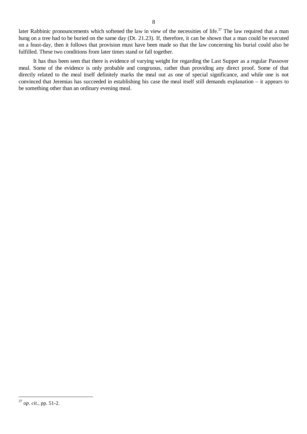later Rabbinic pronouncements which softened the law in view of the necessities of life.<sup>37</sup> The law required that a man hung on a tree had to be buried on the same day (Dt. 21.23). If, therefore, it can be shown that a man could be executed on a feast-day, then it follows that provision must have been made so that the law concerning his burial could also be fulfilled. These two conditions from later times stand or fall together.

It has thus been seen that there is evidence of varying weight for regarding the Last Supper as a regular Passover meal. Some of the evidence is only probable and congruous, rather than providing any direct proof. Some of that directly related to the meal itself definitely marks the meal out as one of special significance, and while one is not convinced that Jeremias has succeeded in establishing his case the meal itself still demands explanation – it appears to be something other than an ordinary evening meal.

<sup>37</sup> *op. cit.*, pp. 51-2.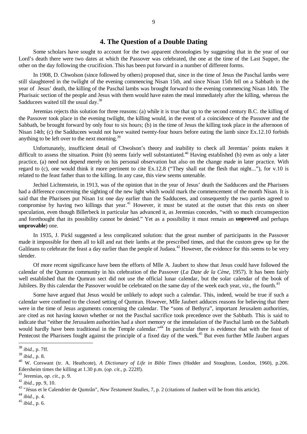#### **4. The Question of a Double Dating**

Some scholars have sought to account for the two apparent chronologies by suggesting that in the year of our Lord's death there were two dates at which the Passover was celebrated, the one at the time of the Last Supper, the other on the day following the crucifixion. This has been put forward in a number of different forms.

In 1908, D. Chwolson (since followed by others) proposed that, since in the time of Jesus the Paschal lambs were still slaughtered in the twilight of the evening commencing Nisan 15th, and since Nisan 15th fell on a Sabbath in the year of Jesus' death, the killing of the Paschal lambs was brought forward to the evening commencing Nisan 14th. The Pharisaic section of the people and Jesus with them would have eaten the meal immediately after the killing, whereas the Sadducees waited till the usual day.<sup>38</sup>

Jeremias rejects this solution for three reasons: (a) while it is true that up to the second century B.C. the killing of the Passover took place in the evening twilight, the killing would, in the event of a coincidence of the Passover and the Sabbath, be brought forward by only four to six hours; (b) in the time of Jesus the killing took place in the afternoon of Nisan 14th; (c) the Sadducees would not have waited twenty-four hours before eating the lamb since Ex.12.10 forbids anything to be left over to the next morning.<sup>39</sup>

Unfortunately, insufficient detail of Chwolson's theory and inability to check all Jeremias' points makes it difficult to assess the situation. Point (b) seems fairly well substantiated.<sup>40</sup> Having established (b) even as only a later practice, (a) need not depend merely on his personal observation but also on the change made in later practice. With regard to (c), one would think it more pertinent to cite Ex.12.8 ("They shall eat the flesh that night..."), for v.10 is related to the feast father than to the killing. In any case, this view seems untenable.

Jechiel Lichtenstein, in 1913, was of the opinion that in the year of Jesus' death the Sadducees and the Pharisees had a difference concerning the sighting of the new light which would mark the commencement of the month Nisan. It is said that the Pharisees put Nisan 1st one day earlier than the Sadducees, and consequently the two parties agreed to compromise by having two killings that year.<sup>41</sup> However, it must be stated at the outset that this rests on sheer speculation, even though Billerbeck in particular has advanced it, as Jeremias concedes, "with so much circumspection and forethought that its possibility cannot be denied." Yet as a possibility it must remain an **unproved** and perhaps **unprovable**) one.

In 1935, J. Pickl suggested a less complicated solution: that the great number of participants in the Passover made it impossible for them all to kill and eat their lambs at the prescribed times, and that the custom grew up for the Galileans to celebrate the feast a day earlier than the people of Judaea.<sup>42</sup> However, the evidence for this seems to be very slender.

Of more recent significance have been the efforts of Mlle A. Jaubert to show that Jesus could have followed the calendar of the Qumran community in his celebration of the Passover (*La Date de la Cène*, 1957). It has been fairly well established that the Qumran sect did not use the official lunar calendar, but the solar calendar of the book of Jubilees. By this calendar the Passover would be celebrated on the same day of the week each year, *viz*., the fourth.<sup>43</sup>

Some have argued that Jesus would be unlikely to adopt such a calendar. This, indeed, would be true if such a calendar were confined to the closed setting of Qumran. However, Mlle Jaubert adduces reasons for believing that there were in the time of Jesus arguments concerning the calendar. The "sons of Bethyra", important Jerusalem authorities, are cited as not having known whether or not the Paschal sacrifice took precedence over the Sabbath. This is said to indicate that "either the Jerusalem authorities had a short memory or the immolation of the Paschal lamb on the Sabbath would hardly have been traditional in the Temple calendar."<sup>44</sup> In particular there is evidence that with the feast of Pentecost the Pharisees fought against the principle of a fixed day of the week.<sup>45</sup> But even further Mlle Jaubert argues

<sup>38</sup> *ibid.*, p. 7ff.

<sup>39</sup> *ibid.*, p. 8.

<sup>40</sup> W. Corswant (tr. A. Heathcote), *A Dictionary of Life in Bible Times* (Hodder and Stoughton, London, 1960), p.206. Edersheim times the killing at 1.30 p.m. (*op. cit.*, p. 222ff).

<sup>41</sup> Jeremias, *op. cit.*, p. 9.

<sup>42</sup> *ibid.*, pp. 9, 10.

<sup>43</sup> "Jésus et le Calendrier de Qumrân", *New Testament Studies*, 7, p. 2 (citations of Jaubert will be from this article).

<sup>44</sup> *ibid.*, p. 4.

<sup>45</sup> *ibid.*, p. 6.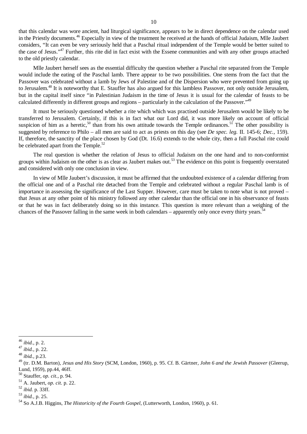that this calendar was wore ancient, had liturgical significance, appears to be in direct dependence on the calendar used in the Priestly documents. <sup>46</sup> Especially in view of the treatment he received at the hands of official Judaism, Mlle Jaubert considers, "It can even be very seriously held that a Paschal ritual independent of the Temple would be better suited to the case of Jesus."<sup>47</sup> Further, this rite did in fact exist with the Essene communities and with any other groups attached to the old priestly calendar.

Mlle Jaubert herself sees as the essential difficulty the question whether a Paschal rite separated from the Temple would include the eating of the Paschal lamb. There appear to be two possibilities. One stems from the fact that the Passover was celebrated without a lamb by Jews of Palestine and of the Dispersion who were prevented from going up to Jerusalem.<sup>48</sup> It is noteworthy that E. Stauffer has also argued for this lambless Passover, not only outside Jerusalem, but in the capital itself since "in Palestinian Judaism in the time of Jesus it is usual for the calendar of feasts to be calculated differently in different groups and regions – particularly in the calculation of the Passover."<sup>49</sup>

It must be seriously questioned whether a rite which which was practised outside Jerusalem would be likely to be transferred to Jerusalem. Certainly, if this is in fact what our Lord did, it was more likely on account of official suspicion of him as a heretic,<sup>50</sup> than from his own attitude towards the Temple ordinances.<sup>51</sup> The other possibility is suggested by reference to Philo – all men are said to act as priests on this day (see *De spec. leg.* II. 145-6; *Dec.*, 159). If, therefore, the sanctity of the place chosen by God (Dt. 16.6) extends to the whole city, then a full Paschal rite could be celebrated apart from the Temple.<sup>52</sup>

The real question is whether the relation of Jesus to official Judaism on the one hand and to non-conformist groups within Judaism on the other is as clear as Jaubert makes out. <sup>53</sup> The evidence on this point is frequently overstated and considered with only one conclusion in view.

In view of Mlle Jaubert's discussion, it must be affirmed that the undoubted existence of a calendar differing from the official one and of a Paschal rite detached from the Temple and celebrated without a regular Paschal lamb is of importance in assessing the significance of the Last Supper. However, care must be taken to note what is not proved – that Jesus at any other point of his ministry followed any other calendar than the official one in his observance of feasts or that he was in fact deliberately doing so in this instance. This question is more relevant than a weighing of the chances of the Passover falling in the same week in both calendars – apparently only once every thirty years.<sup>54</sup>

<sup>46</sup> *ibid.*, p. 2.

<sup>47</sup> *ibid.*, p. 22.

<sup>48</sup> *ibid.*, p.23.

<sup>49</sup> (tr. D.M. Barton), *Jesus and His Story* (SCM, London, 1960), p. 95. Cf. B. Gärtner, *John 6 and the Jewish Passover* (Gleerup, Lund, 1959), pp.44, 46ff.

<sup>50</sup> Stauffer, *op. cit.*, p. 94.

<sup>51</sup> A. Jaubert, *op. cit.* p. 22.

<sup>52</sup> *ibid.* p. 33ff.

<sup>53</sup> *ibid.*, p. 25.

<sup>54</sup> So A.J.B. Higgins, *The Historicity of the Fourth Gospel*, (Lutterworth, London, 1960), p. 61.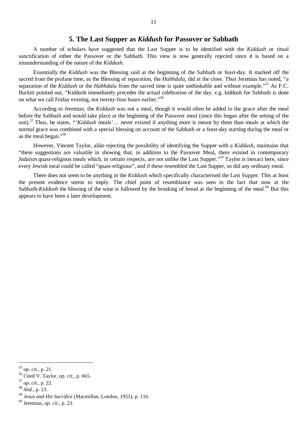#### **5. The Last Supper as** *Kiddush* **for Passover or Sabbath**

A number of scholars have suggested that the Last Supper is to be identified with the *Kiddush* or ritual sanctification of either the Passover or the Sabbath. This view is now generally rejected since it is based on a misunderstanding of the nature of the *Kiddush*.

Essentially the *Kiddush* was the Blessing said at the beginning of the Sabbath or feast-day. It marked off the sacred from the profane time, as the Blessing of separation, the *Habhdala*, did at the close. Thus Jeremias has noted, "a separation of the *Kiddush* or the *Habhdala* from the sacred time is quite unthinkable and without example."<sup>55</sup> As F.C. Burkitt pointed out, "Kiddush immediately precedes the actual celebration of the day, e.g. kiddush for Sabbath is done on what we call Friday evening, not twenty-four hours earlier."<sup>56</sup>

According to Jeremias, the *Kiddush* was not a meal, though it would often be added to the grace after the meal before the Sabbath and would take place at the beginning of the Passover meal (since this began after the setting of the sun). <sup>57</sup> Thus, he states, "'*Kiddush* meals'… never existed if anything more is meant by them than meals at which the normal grace was combined with a special blessing on account of the Sabbath or a feast-day starting during the meal or as the meal began."<sup>58</sup>

However, Vincent Taylor, alike rejecting the possibility of identifying the Supper with a *Kiddush*, maintains that "these suggestions are valuable in showing that, in addition to the Passover Meal, there existed in contemporary Judaism quasi-religious meals which, in certain respects, are not unlike the Last Supper."<sup>59</sup> Taylor is inexact here, since every Jewish meal could be called "quasi-religious", and if these resembled the Last Supper, so did any ordinary rneal.

There does not seem to be anything in the *Kiddush* which specifically characterised the Last Supper. This at least the present evidence seems to imply. The chief point of resemblance was seen in the fact that now at the Sabbath-*Kiddush* the blessing of the wine is followed by the breaking of bread at the beginning of the meal.<sup>60</sup> But this appears to have been a later development.

<sup>55</sup> *op. cit.*, p. 21.

<sup>56</sup> Cited V. Taylor, *op. cit.*, p. 665.

<sup>57</sup> *op. cit.*, p. 22.

<sup>58</sup> *ibid.*, p. 23.

<sup>59</sup> *Jesus and His Sacrifice* (Macmillan, London, 1951), p. 116.

<sup>60</sup> Jeremias, *op. cit.*, p. 23.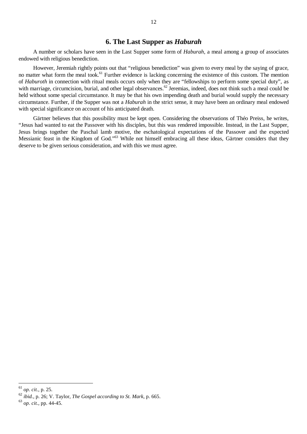#### **6. The Last Supper as** *Haburah*

A number or scholars have seen in the Last Supper some form of *Haburah*, a meal among a group of associates endowed with religious benediction.

However, Jeremiah rightly points out that "religious benediction" was given to every meal by the saying of grace, no matter what form the meal took.<sup>61</sup> Further evidence is lacking concerning the existence of this custom. The mention of *Haburoth* in connection with ritual meals occurs only when they are "fellowships to perform some special duty", as with marriage, circumcision, burial, and other legal observances.<sup>62</sup> Jeremias, indeed, does not think such a meal could be held without some special circumstance. It may be that his own impending death and burial would supply the necessary circumstance. Further, if the Supper was not a *Haburah* in the strict sense, it may have been an ordinary meal endowed with special significance on account of his anticipated death.

Gärtner believes that this possibility must be kept open. Considering the observations of Théo Preiss, he writes, "Jesus had wanted to eat the Passover with his disciples, but this was rendered impossible. Instead, in the Last Supper, Jesus brings together the Paschal lamb motive, the eschatological expectations of the Passover and the expected Messianic feast in the Kingdom of God."<sup>63</sup> While not himself embracing all these ideas, Gärtner considers that they deserve to be given serious consideration, and with this we must agree.

<sup>61</sup> *op. cit.*, p. 25.

<sup>62</sup> *ibid.*, p. 26; V. Taylor, *The Gospel according to St. Mark*, p. 665.

<sup>63</sup> *op. cit.*, pp. 44-45.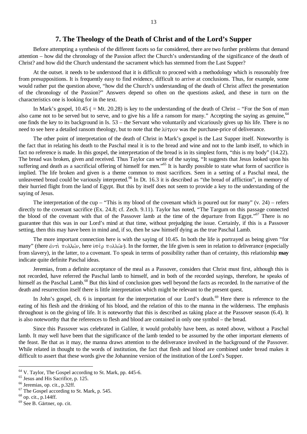#### **7. The Theology of the Death of Christ and of the Lord's Supper**

Before attempting a synthesis of the different facets so far considered, there are two further problems that demand attention – how did the chronology of the Passion affect the Church's understanding of the significance of the death of Christ? and how did the Church understand the sacrament which has stemmed from the Last Supper?

At the outset. it needs to be understood that it is difficult to proceed with a methodology which is reasonably free from presuppositions. It is frequently easy to find evidence, difficult to arrive at conclusions. Thus, for example, some would rather put the question above, "how did the Church's understanding of the death of Christ affect the presentation of the chronology of the Passion?" Answers depend so often on the questions asked, and these in turn on the characteristics one is looking for in the text.

In Mark's gospel,  $10.45$  ( = Mt. 20.28) is key to the understanding of the death of Christ – "For the Son of man also came not to be served but to serve, and to give his a life a ransom for many." Accepting the saying as genuine, <sup>64</sup> one finds the key to its background in Is. 53 – the Servant who voluntarily and vicariously gives up his life. There is no need to see here a detailed ransom theology, but to note that the  $\lambda \hat{\nu} \tau \rho \partial \nu$  was the purchase-price of deliverance.

The other point of interpretation of the death of Christ in Mark's gospel is the Last Supper itself. Noteworthy is the fact that in relating his death to the Paschal meal it is to the bread and wine and not to the lamb itself, to which in fact no reference is made. In this gospel, the interpretation of the bread is in its simplest form, "this is my body" (14.22). The bread was broken, given and received. Thus Taylor can write of the saying, "It suggests that Jesus looked upon his suffering and death as a sacrificial offering of himself for men."<sup>65</sup> It is hardly possible to state what form of sacrifice is implied. The life broken and given is a theme common to most sacrifices. Seen in a setting of a Paschal meal, the unleavened bread could be variously interpreted.<sup>66</sup> In Dt. 16.3 it is described as "the bread of affliction", in memory of their hurried flight from the land of Egypt. But this by itself does not seem to provide a key to the understanding of the saying of Jesus.

The interpretation of the cup – "This is my blood of the covenant which is poured out for many" (v. 24) – refers directly to the covenant sacrifice (Ex. 24.8; cf. Zech. 9.11). Taylor has noted, "The Targum on this passage connected the blood of the covenant with that of the Passover lamb at the time of the departure from Egypt."<sup>67</sup> There is no guarantee that this was in our Lord's mind at that time, without prejudging the issue. Certainly, if this is a Passover setting, then this may have been in mind and, if so, then he saw himself dying as the true Paschal Lamb.

The more important connection here is with the saying of 10.45. In both the life is portrayed as being given "for many" (there  $d\nu\tau\dot{\tau}$  πολλών, here  $\dot{\nu}\tau\dot{\epsilon}\rho$  πολλών). In the former, the life given is seen in relation to deliverance (especially from slavery), in the latter, to a covenant. To speak in terms of possibility rather than of certainty, this relationship **may** indicate quite definite Paschal ideas.

Jeremias, from a definite acceptance of the meal as a Passover, considers that Christ must first, although this is not recorded, have referred the Paschal lamb to himself, and in both of the recorded sayings, therefore, he speaks of himself as the Paschal Lamb.<sup>68</sup> But this kind of conclusion goes well beyond the facts as recorded. In the narrative of the death and resurrection itself there is little interpretation which might be relevant to the present quest.

In John's gospel, ch. 6 is important for the interpretation of our Lord's death.<sup>69</sup> Here there is reference to the eating of his flesh and the drinking of his blood, and the relation of this to the manna in the wilderness. The emphasis throughout is on the giving of life. It is noteworthy that this is described as taking place at the Passover season (6.4). It is also noteworthy that the references to flesh and blood are contained in only one symbol – the bread.

Since this Passover was celebrated in Galilee, it would probably have been, as noted above, without a Paschal lamb. It may well have been that the significance of the lamb tended to be assumed by the other important elements of the feast. Be that as it may, the manna draws attention to the deliverance involved in the background of the Passover. While related in thought to the words of institution, the fact that flesh and blood are combined under bread makes it difficult to assert that these words give the Johannine version of the institution of the Lord's Supper.

<sup>&</sup>lt;sup>64</sup> V. Taylor, The Gospel according to St. Mark, pp. 445-6.

<sup>&</sup>lt;sup>65</sup> Jesus and His Sacrifice, p. 125.

 $66$  Jeremias, op. cit., p.32ff.

<sup>67</sup> The Gospel according to St. Mark, p. 545.

<sup>68</sup> op. cit., p.144ff.

<sup>69</sup> See B. Gärtner, op. cit.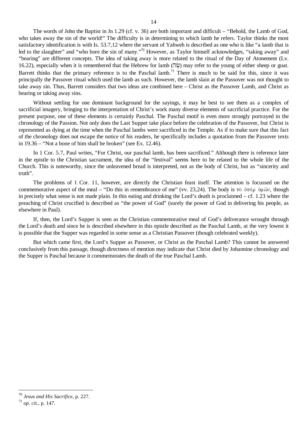The words of John the Baptist in Jn 1.29 (cf. v. 36) are both important and difficult – "Behold, the Lamb of God, who takes away the sin of the world!" The difficulty is in determining to which lamb he refers. Taylor thinks the most satisfactory identification is with Is. 53.7,12 where the servant of Yahweh is described as one who is like "a lamb that is led to the slaughter" and "who bore the sin of many."<sup>70</sup> However, as Taylor himself acknowledges, "taking away" and "bearing" are different concepts. The idea of taking away is more related to the ritual of the Day of Atonement (Lv. 16.22), especially when it is remembered that the Hebrew for lamb  $(\vec{p}\vec{a})$  may refer to the young of either sheep or goat. Barrett thinks that the primary reference is to the Paschal lamb.<sup>71</sup> There is much to be said for this, since it was principally the Passover ritual which used the lamb as such. However, the lamb slain at the Passover was not thought to take away sin. Thus, Barrett considers that two ideas are combined here – Christ as the Passover Lamb, and Christ as bearing or taking away sins.

Without settling for one dominant background for the sayings, it may be best to see them as a complex of sacrificial imagery, bringing to the interpretation of Christ's work many diverse elements of sacrificial practice. For the present purpose, one of these elements is certainly Paschal. The Paschal motif is even more strongly portrayed in the chronology of the Passion. Not only does the Last Supper take place before the celebration of the Passover, but Christ is represented as dying at the time when the Paschal lambs were sacrificed in the Temple. As if to make sure that this fact of the chronology does not escape the notice of his readers, he specifically includes a quotation from the Passover texts in 19.36 – "Not a bone of him shall be broken" (see Ex. 12.46).

In 1 Cor. 5.7, Paul writes, "For Christ, our paschal lamb, has been sacrificed." Although there is reference later in the epistle to the Christian sacrament, the idea of the "festival" seems here to be related to the whole life of the Church. This is noteworthy, since the unleavened bread is interpreted, not as the body of Christ, but as "sincerity and truth".

The problems of 1 Cor. 11, however, are directly the Christian feast itself. The attention is focussed on the commemorative aspect of the meal – "Do this in remembrance of me" (vv. 23,24). The body is  $\tau \delta$   $\psi \pi \epsilon \rho$   $\psi \mu \omega \nu$ , though in precisely what sense is not made plain. In this eating and drinking the Lord's death is proclaimed – cf. 1.23 where the preaching of Christ crucified is described as "the power of God" (surely the power of God in delivering his people, as elsewhere in Paul).

If, then, the Lord's Supper is seen as the Christian commemorative meal of God's deliverance wrought through the Lord's death and since he is described elsewhere in this epistle described as the Paschal Lamb, at the very lowest it is possible that the Supper was regarded in some sense as a Christian Passover (though celebrated weekly).

But which came first, the Lord's Supper as Passover, or Christ as the Paschal Lamb? This cannot be answered conclusively from this passage, though directness of mention may indicate that Christ died by Johannine chronology and the Supper is Paschal because it commemorates the death of the true Paschal Lamb.

<sup>70</sup> *Jesus and His Sacrifice*, p. 227.

<sup>71</sup> *op. cit.*, p. 147.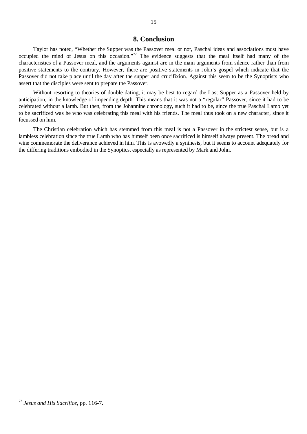#### **8. Conclusion**

Taylor has noted, "Whether the Supper was the Passover meal or not, Paschal ideas and associations must have occupied the mind of Jesus on this occasion."<sup>72</sup> The evidence suggests that the meal itself had many of the characteristics of a Passover meal, and the arguments against are in the main arguments from silence rather than from positive statements to the contrary. However, there are positive statements in John's gospel which indicate that the Passover did not take place until the day after the supper and crucifixion. Against this seem to be the Synoptists who assert that the disciples were sent to prepare the Passover.

Without resorting to theories of double dating, it may be best to regard the Last Supper as a Passover held by anticipation, in the knowledge of impending depth. This means that it was not a "regular" Passover, since it had to be celebrated without a lamb. But then, from the Johannine chronology, such it had to be, since the true Paschal Lamb yet to be sacrificed was he who was celebrating this meal with his friends. The meal thus took on a new character, since it focussed on him.

The Christian celebration which has stemmed from this meal is not a Passover in the strictest sense, but is a lambless celebration since the true Lamb who has himself been once sacrificed is himself always present. The bread and wine commemorate the deliverance achieved in him. This is avowedly a synthesis, but it seems to account adequately for the differing traditions embodied in the Synoptics, especially as represented by Mark and John.

<sup>72</sup> *Jesus and His Sacrifice*, pp. 116-7.